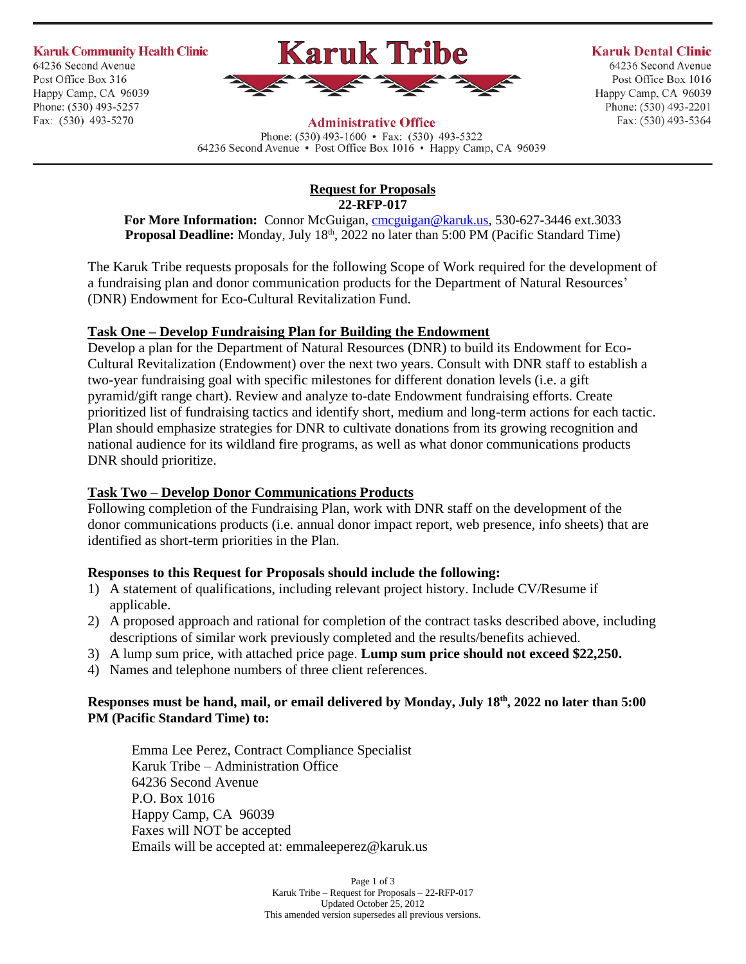**Karuk Community Health Clinic** 64236 Second Avenue Post Office Box 316 Happy Camp, CA 96039 Phone: (530) 493-5257 Fax: (530) 493-5270



#### **Karuk Dental Clinic**

64236 Second Avenue Post Office Box 1016 Happy Camp, CA 96039 Phone: (530) 493-2201 Fax: (530) 493-5364

**Administrative Office** Phone:  $(530)$  493-1600 • Fax:  $(530)$  493-5322

64236 Second Avenue • Post Office Box 1016 • Happy Camp, CA 96039

#### **Request for Proposals 22-RFP-017**

For More Information: Connor McGuigan, **cmcguigan@karuk.us**, 530-627-3446 ext.3033 Proposal Deadline: Monday, July 18<sup>th</sup>, 2022 no later than 5:00 PM (Pacific Standard Time)

The Karuk Tribe requests proposals for the following Scope of Work required for the development of a fundraising plan and donor communication products for the Department of Natural Resources' (DNR) Endowment for Eco-Cultural Revitalization Fund.

# **Task One – Develop Fundraising Plan for Building the Endowment**

Develop a plan for the Department of Natural Resources (DNR) to build its Endowment for Eco-Cultural Revitalization (Endowment) over the next two years. Consult with DNR staff to establish a two-year fundraising goal with specific milestones for different donation levels (i.e. a gift pyramid/gift range chart). Review and analyze to-date Endowment fundraising efforts. Create prioritized list of fundraising tactics and identify short, medium and long-term actions for each tactic. Plan should emphasize strategies for DNR to cultivate donations from its growing recognition and national audience for its wildland fire programs, as well as what donor communications products DNR should prioritize.

# **Task Two – Develop Donor Communications Products**

Following completion of the Fundraising Plan, work with DNR staff on the development of the donor communications products (i.e. annual donor impact report, web presence, info sheets) that are identified as short-term priorities in the Plan.

# **Responses to this Request for Proposals should include the following:**

- 1) A statement of qualifications, including relevant project history. Include CV/Resume if applicable.
- 2) A proposed approach and rational for completion of the contract tasks described above, including descriptions of similar work previously completed and the results/benefits achieved.
- 3) A lump sum price, with attached price page. **Lump sum price should not exceed \$22,250.**
- 4) Names and telephone numbers of three client references.

#### **Responses must be hand, mail, or email delivered by Monday, July 18th, 2022 no later than 5:00 PM (Pacific Standard Time) to:**

Emma Lee Perez, Contract Compliance Specialist Karuk Tribe – Administration Office 64236 Second Avenue P.O. Box 1016 Happy Camp, CA 96039 Faxes will NOT be accepted Emails will be accepted at: emmaleeperez@karuk.us

> Page 1 of 3 Karuk Tribe – Request for Proposals – 22-RFP-017 Updated October 25, 2012 This amended version supersedes all previous versions.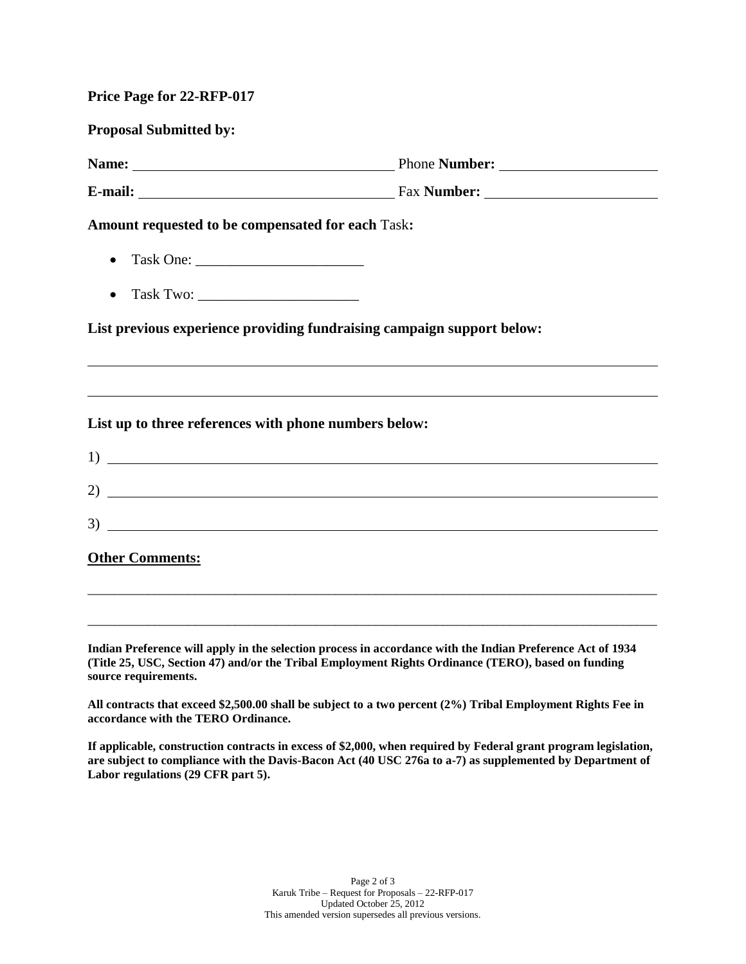| <b>Price Page for 22-RFP-017</b> |  |  |  |
|----------------------------------|--|--|--|
|----------------------------------|--|--|--|

**Proposal Submitted by: Name:** Phone **Number: E-mail:** Fax **Number: Amount requested to be compensated for each** Task**:** • Task One: \_\_\_\_\_\_\_\_\_\_\_\_\_\_\_\_\_\_\_\_\_\_\_ • Task Two: **List previous experience providing fundraising campaign support below: List up to three references with phone numbers below:** 1)

2) 3)

\_\_\_\_\_\_\_\_\_\_\_\_\_\_\_\_\_\_\_\_\_\_\_\_\_\_\_\_\_\_\_\_\_\_\_\_\_\_\_\_\_\_\_\_\_\_\_\_\_\_\_\_\_\_\_\_\_\_\_\_\_\_\_\_\_\_\_\_\_\_\_\_\_\_\_\_\_\_\_\_\_\_\_\_\_

\_\_\_\_\_\_\_\_\_\_\_\_\_\_\_\_\_\_\_\_\_\_\_\_\_\_\_\_\_\_\_\_\_\_\_\_\_\_\_\_\_\_\_\_\_\_\_\_\_\_\_\_\_\_\_\_\_\_\_\_\_\_\_\_\_\_\_\_\_\_\_\_\_\_\_\_\_\_\_\_\_\_\_\_\_

**Other Comments:**

**Indian Preference will apply in the selection process in accordance with the Indian Preference Act of 1934 (Title 25, USC, Section 47) and/or the Tribal Employment Rights Ordinance (TERO), based on funding source requirements.**

**All contracts that exceed \$2,500.00 shall be subject to a two percent (2%) Tribal Employment Rights Fee in accordance with the TERO Ordinance.**

**If applicable, construction contracts in excess of \$2,000, when required by Federal grant program legislation, are subject to compliance with the Davis-Bacon Act (40 USC 276a to a-7) as supplemented by Department of Labor regulations (29 CFR part 5).**